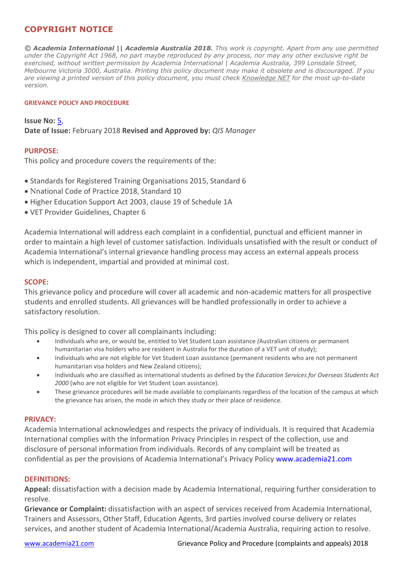# **COPYRIGHT NOTICE**

*© Academia International || Academia Australia 2018. This work is copyright. Apart from any use permitted under the Copyright Act 1968, no part maybe reproduced by any process, nor may any other exclusive right be exercised, without written permission by Academia International | Academia Australia, 399 Lonsdale Street, Melbourne Victoria 3000, Australia. Printing this policy document may make it obsolete and is discouraged. If you are viewing a printed version of this policy document, you must check Knowledge NET for the most up-to-date version.*

#### **GRIEVANCE POLICY AND PROCEDURE**

**Issue No:** 5, **Date of Issue:** February 2018 **Revised and Approved by:** *QIS Manager*

### **PURPOSE:**

This policy and procedure covers the requirements of the:

- Standards for Registered Training Organisations 2015, Standard 6
- Νnational Code of Practice 2018, Standard 10
- Higher Education Support Act 2003, clause 19 of Schedule 1A
- VET Provider Guidelines, Chapter 6

Academia International will address each complaint in a confidential, punctual and efficient manner in order to maintain a high level of customer satisfaction. Individuals unsatisfied with the result or conduct of Academia International's internal grievance handling process may access an external appeals process which is independent, impartial and provided at minimal cost.

#### **SCOPE:**

This grievance policy and procedure will cover all academic and non-academic matters for all prospective students and enrolled students. All grievances will be handled professionally in order to achieve a satisfactory resolution.

This policy is designed to cover all complainants including:

- Individuals who are, or would be, entitled to Vet Student Loan assistance *(*Australian citizens or permanent humanitarian visa holders who are resident in Australia for the duration of a VET unit of study);
- Individuals who are not eligible for Vet Student Loan assistance (permanent residents who are not permanent humanitarian visa holders and New Zealand citizens);
- Individuals who are classified as international students as defined by the *Education Services for Overseas Students Act 2000* (who are not eligible for Vet Student Loan assistance).
- These grievance procedures will be made available to complainants regardless of the location of the campus at which the grievance has arisen, the mode in which they study or their place of residence.

#### **PRIVACY:**

Academia International acknowledges and respects the privacy of individuals. It is required that Academia International complies with the Information Privacy Principles in respect of the collection, use and disclosure of personal information from individuals. Records of any complaint will be treated as confidential as per the provisions of Academia International's Privacy Policy www.academia21.com

#### **DEFINITIONS:**

**Appeal:** dissatisfaction with a decision made by Academia International, requiring further consideration to resolve.

**Grievance or Complaint:** dissatisfaction with an aspect of services received from Academia International, Trainers and Assessors, Other Staff, Education Agents, 3rd parties involved course delivery or relates services, and another student of Academia International/Academia Australia, requiring action to resolve.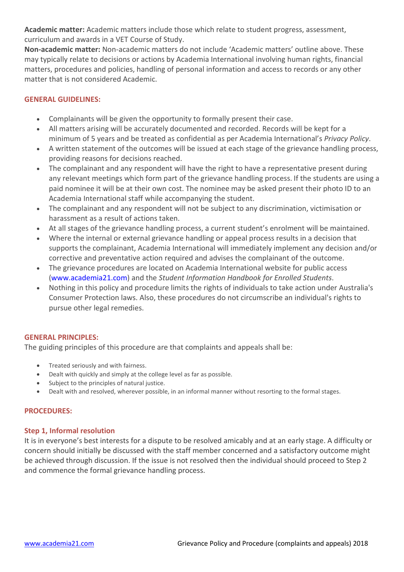**Academic matter:** Academic matters include those which relate to student progress, assessment, curriculum and awards in a VET Course of Study.

**Non-academic matter:** Non-academic matters do not include 'Academic matters' outline above. These may typically relate to decisions or actions by Academia International involving human rights, financial matters, procedures and policies, handling of personal information and access to records or any other matter that is not considered Academic.

# **GENERAL GUIDELINES:**

- Complainants will be given the opportunity to formally present their case.
- All matters arising will be accurately documented and recorded. Records will be kept for a minimum of 5 years and be treated as confidential as per Academia International's *Privacy Policy*.
- A written statement of the outcomes will be issued at each stage of the grievance handling process, providing reasons for decisions reached.
- The complainant and any respondent will have the right to have a representative present during any relevant meetings which form part of the grievance handling process. If the students are using a paid nominee it will be at their own cost. The nominee may be asked present their photo ID to an Academia International staff while accompanying the student.
- The complainant and any respondent will not be subject to any discrimination, victimisation or harassment as a result of actions taken.
- At all stages of the grievance handling process, a current student's enrolment will be maintained.
- Where the internal or external grievance handling or appeal process results in a decision that supports the complainant, Academia International will immediately implement any decision and/or corrective and preventative action required and advises the complainant of the outcome.
- The grievance procedures are located on Academia International website for public access (www.academia21.com) and the *Student Information Handbook for Enrolled Students*.
- Nothing in this policy and procedure limits the rights of individuals to take action under Australia's Consumer Protection laws. Also, these procedures do not circumscribe an individual's rights to pursue other legal remedies.

## **GENERAL PRINCIPLES:**

The guiding principles of this procedure are that complaints and appeals shall be:

- Treated seriously and with fairness.
- Dealt with quickly and simply at the college level as far as possible.
- Subject to the principles of natural justice.
- Dealt with and resolved, wherever possible, in an informal manner without resorting to the formal stages.

## **PROCEDURES:**

## **Step 1, Informal resolution**

It is in everyone's best interests for a dispute to be resolved amicably and at an early stage. A difficulty or concern should initially be discussed with the staff member concerned and a satisfactory outcome might be achieved through discussion. If the issue is not resolved then the individual should proceed to Step 2 and commence the formal grievance handling process.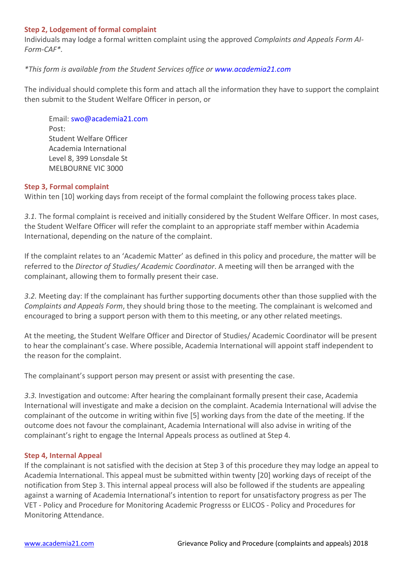## **Step 2, Lodgement of formal complaint**

Individuals may lodge a formal written complaint using the approved *Complaints and Appeals Form AI-Form-CAF\*.* 

# *\*This form is available from the Student Services office or www.academia21.com*

The individual should complete this form and attach all the information they have to support the complaint then submit to the Student Welfare Officer in person, or

Email: swo@academia21.com Post: Student Welfare Officer Academia International Level 8, 399 Lonsdale St MELBOURNE VIC 3000

## **Step 3, Formal complaint**

Within ten [10] working days from receipt of the formal complaint the following process takes place.

*3.1.* The formal complaint is received and initially considered by the Student Welfare Officer. In most cases, the Student Welfare Officer will refer the complaint to an appropriate staff member within Academia International, depending on the nature of the complaint.

If the complaint relates to an 'Academic Matter' as defined in this policy and procedure, the matter will be referred to the *Director of Studies/ Academic Coordinator*. A meeting will then be arranged with the complainant, allowing them to formally present their case.

*3.2.* Meeting day: If the complainant has further supporting documents other than those supplied with the *Complaints and Appeals Form*, they should bring those to the meeting. The complainant is welcomed and encouraged to bring a support person with them to this meeting, or any other related meetings.

At the meeting, the Student Welfare Officer and Director of Studies/ Academic Coordinator will be present to hear the complainant's case. Where possible, Academia International will appoint staff independent to the reason for the complaint.

The complainant's support person may present or assist with presenting the case.

*3.3.* Investigation and outcome: After hearing the complainant formally present their case, Academia International will investigate and make a decision on the complaint. Academia International will advise the complainant of the outcome in writing within five [5] working days from the date of the meeting. If the outcome does not favour the complainant, Academia International will also advise in writing of the complainant's right to engage the Internal Appeals process as outlined at Step 4.

## **Step 4, Internal Appeal**

If the complainant is not satisfied with the decision at Step 3 of this procedure they may lodge an appeal to Academia International. This appeal must be submitted within twenty [20] working days of receipt of the notification from Step 3. This internal appeal process will also be followed if the students are appealing against a warning of Academia International's intention to report for unsatisfactory progress as per The VET - Policy and Procedure for Monitoring Academic Progresss or ELICOS - Policy and Procedures for Monitoring Attendance.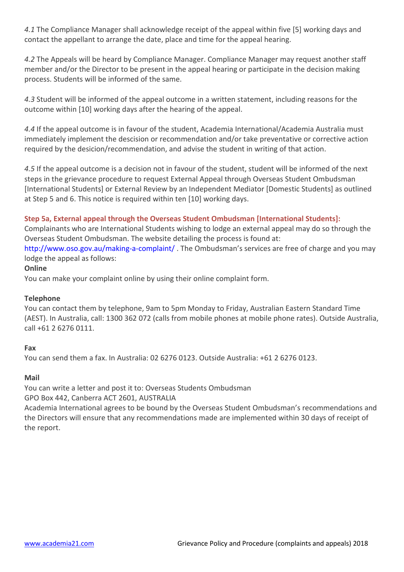*4.1* The Compliance Manager shall acknowledge receipt of the appeal within five [5] working days and contact the appellant to arrange the date, place and time for the appeal hearing.

*4.2* The Appeals will be heard by Compliance Manager. Compliance Manager may request another staff member and/or the Director to be present in the appeal hearing or participate in the decision making process. Students will be informed of the same.

*4.3* Student will be informed of the appeal outcome in a written statement, including reasons for the outcome within [10] working days after the hearing of the appeal.

*4.4* If the appeal outcome is in favour of the student, Academia International/Academia Australia must immediately implement the descision or recommendation and/or take preventative or corrective action required by the desicion/recommendation, and advise the student in writing of that action.

*4.5* If the appeal outcome is a decision not in favour of the student, student will be informed of the next steps in the grievance procedure to request External Appeal through Overseas Student Ombudsman [International Students] or External Review by an Independent Mediator [Domestic Students] as outlined at Step 5 and 6. This notice is required within ten [10] working days.

# **Step 5a, External appeal through the Overseas Student Ombudsman [International Students]:**

Complainants who are International Students wishing to lodge an external appeal may do so through the Overseas Student Ombudsman. The website detailing the process is found at:

http://www.oso.gov.au/making-a-complaint/ . The Ombudsman's services are free of charge and you may lodge the appeal as follows:

# **Online**

You can make your complaint online by using their online complaint form.

# **Telephone**

You can contact them by telephone, 9am to 5pm Monday to Friday, Australian Eastern Standard Time (AEST). In Australia, call: 1300 362 072 (calls from mobile phones at mobile phone rates). Outside Australia, call +61 2 6276 0111.

# **Fax**

You can send them a fax. In Australia: 02 6276 0123. Outside Australia: +61 2 6276 0123.

# **Mail**

You can write a letter and post it to: Overseas Students Ombudsman GPO Box 442, Canberra ACT 2601, AUSTRALIA

Academia International agrees to be bound by the Overseas Student Ombudsman's recommendations and the Directors will ensure that any recommendations made are implemented within 30 days of receipt of the report.